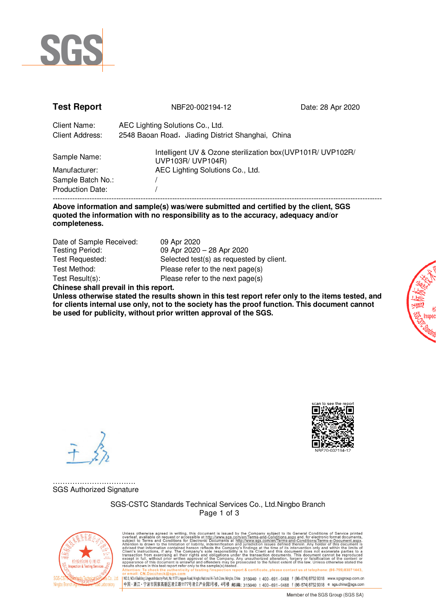

| <b>Test Report</b>                                 | NBF20-002194-12                                                                                                      | Date: 28 Apr 2020 |
|----------------------------------------------------|----------------------------------------------------------------------------------------------------------------------|-------------------|
| Client Name:<br><b>Client Address:</b>             | AEC Lighting Solutions Co., Ltd.<br>2548 Baoan Road, Jiading District Shanghai, China                                |                   |
| Sample Name:<br>Manufacturer:<br>Sample Batch No.: | Intelligent UV & Ozone sterilization box (UVP101R/ UVP102R/<br>UVP103R/ UVP104R)<br>AEC Lighting Solutions Co., Ltd. |                   |
| <b>Production Date:</b>                            |                                                                                                                      |                   |
|                                                    |                                                                                                                      |                   |

### **Above information and sample(s) was/were submitted and certified by the client, SGS quoted the information with no responsibility as to the accuracy, adequacy and/or completeness.**

| Date of Sample Received:              | 09 Apr 2020                              |  |  |  |
|---------------------------------------|------------------------------------------|--|--|--|
| <b>Testing Period:</b>                | 09 Apr 2020 - 28 Apr 2020                |  |  |  |
| Test Requested:                       | Selected test(s) as requested by client. |  |  |  |
| Test Method:                          | Please refer to the next page(s)         |  |  |  |
| Test Result(s):                       | Please refer to the next page(s)         |  |  |  |
| Chinese shall prevail in this report. |                                          |  |  |  |

**Unless otherwise stated the results shown in this test report refer only to the items tested, and for clients internal use only, not to the society has the proof function. This document cannot be used for publicity, without prior written approval of the SGS.** 



……………………………………… SGS Authorized Signature

> SGS-CSTC Standards Technical Services Co., Ltd.Ningbo Branch Page 1 of 3



Unless otherwise agreed in writing, this document is issued by the Company subject to its General Conditions of Service printed available on request or accessible at this document is subject to Terms and Conditions for El report & certificate, please contact us at telephone: (86-755) 8307 1443. v Mexical : crystness (https://www.sgssreview.com/mexical/higholalabinalHi-Tech2one,Ningbo,China 315040 t 400-691-0488 f (86–574)87529318 www.sgsgroup.com.cn<br>|中国 - 浙江 - 宁波市国家高新区凌云路1177号凌云产业园3号楼,4号楼 -邮编: 315040 t 400-691-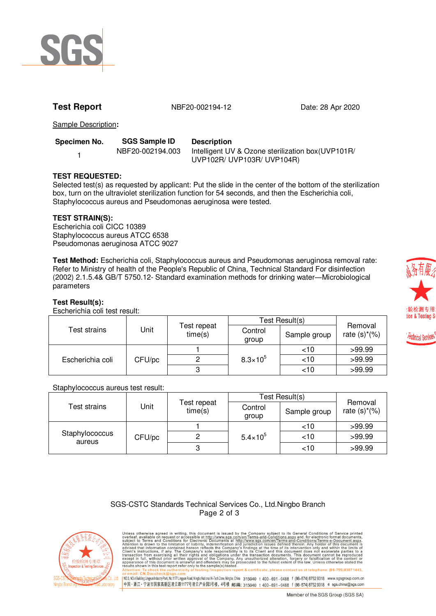

**Test Report** 12 18 1867-002194-12 18 28 Apr 2020

Sample Description**:**

| Specimen No. | <b>SGS Sample ID</b> | <b>Description</b> |  |  |
|--------------|----------------------|--------------------|--|--|
|              | NBF20-002194.003     | Intelligent UV & 0 |  |  |
|              |                      | 111/DAOM1111/DA    |  |  |

Ozone sterilization box(UVP101R/ UVP102R/ UVP103R/ UVP104R)

# **TEST REQUESTED:**

Selected test(s) as requested by applicant: Put the slide in the center of the bottom of the sterilization box, turn on the ultraviolet sterilization function for 54 seconds, and then the Escherichia coli, Staphylococcus aureus and Pseudomonas aeruginosa were tested.

# **TEST STRAIN(S):**

Escherichia coli CICC 10389 Staphylococcus aureus ATCC 6538 Pseudomonas aeruginosa ATCC 9027

**Test Method:** Escherichia coli, Staphylococcus aureus and Pseudomonas aeruginosa removal rate: Refer to Ministry of health of the People's Republic of China, Technical Standard For disinfection (2002) 2.1.5.4& GB/T 5750.12- Standard examination methods for drinking water―Microbiological parameters

# **Test Result(s):**

Escherichia coli test result:

|                  |        |                        | Test Result(s)      |              |                            |
|------------------|--------|------------------------|---------------------|--------------|----------------------------|
| Test strains     | Jnit   | Test repeat<br>time(s) | Control<br>group    | Sample group | Removal<br>rate $(s)*(\%)$ |
| Escherichia coli | CFU/pc |                        | $8.3 \times 10^{5}$ | <10          | >99.99                     |
|                  |        |                        |                     | ~10          | >99.99                     |
|                  |        |                        |                     | ~10          | >99.99                     |

### Staphylococcus aureus test result:

|                          |        |                        | Test Result(s)      |              |                            |
|--------------------------|--------|------------------------|---------------------|--------------|----------------------------|
| Test strains             | Jnit   | Test repeat<br>time(s) | Control<br>group    | Sample group | Removal<br>rate $(s)*(\%)$ |
| Staphylococcus<br>aureus | CFU/pc |                        | $5.4 \times 10^{5}$ | ~10          | >99.99                     |
|                          |        |                        |                     | ~10          | >99.99                     |
|                          |        |                        |                     | ~10          | >99.99                     |

### SGS-CSTC Standards Technical Services Co., Ltd.Ningbo Branch Page 2 of 3



Unless otherwise agreed in writing, this document is issued by the Company subject to its General Conditions of Service printed available on request or accessible at this document is subject to Terms and Conditions for El eport & certificate, please contact us at telephone: (86-755) 8307 1443 」<br>| NO.3,NO.4BuildingLingyunIndustryPark,No.1177Lingyun Road,Ningbo.National Hi-Tech Zone,Ningbo.China 315040 t 400 - 691 - 0488 f (86–574)87529318 www.sgsgroup.com.cn<br>|中国 - 浙江 - 宁波市国家高新区凌云路1177号凌云产业园3号楼, 4号楼 -邮编: 31504



*<i><u><b>echnical Services*</u>